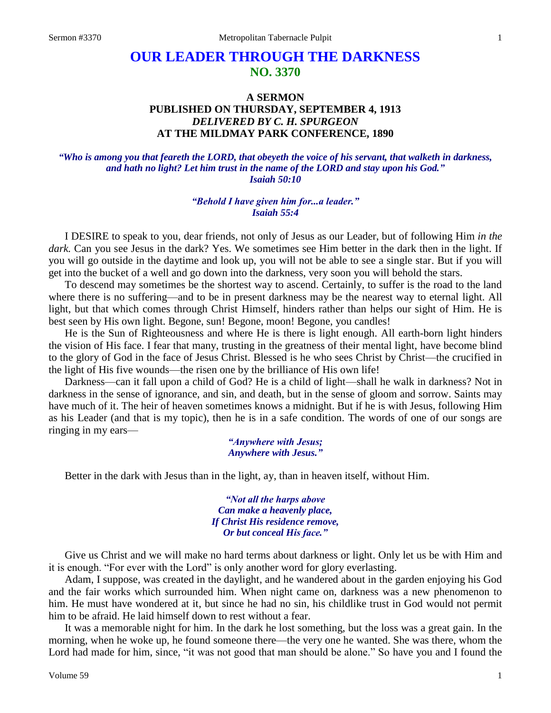# **OUR LEADER THROUGH THE DARKNESS NO. 3370**

## **A SERMON PUBLISHED ON THURSDAY, SEPTEMBER 4, 1913** *DELIVERED BY C. H. SPURGEON* **AT THE MILDMAY PARK CONFERENCE, 1890**

*"Who is among you that feareth the LORD, that obeyeth the voice of his servant, that walketh in darkness, and hath no light? Let him trust in the name of the LORD and stay upon his God." Isaiah 50:10*

#### *"Behold I have given him for...a leader." Isaiah 55:4*

I DESIRE to speak to you, dear friends, not only of Jesus as our Leader, but of following Him *in the dark.* Can you see Jesus in the dark? Yes. We sometimes see Him better in the dark then in the light. If you will go outside in the daytime and look up, you will not be able to see a single star. But if you will get into the bucket of a well and go down into the darkness, very soon you will behold the stars.

To descend may sometimes be the shortest way to ascend. Certainly, to suffer is the road to the land where there is no suffering—and to be in present darkness may be the nearest way to eternal light. All light, but that which comes through Christ Himself, hinders rather than helps our sight of Him. He is best seen by His own light. Begone, sun! Begone, moon! Begone, you candles!

He is the Sun of Righteousness and where He is there is light enough. All earth-born light hinders the vision of His face. I fear that many, trusting in the greatness of their mental light, have become blind to the glory of God in the face of Jesus Christ. Blessed is he who sees Christ by Christ—the crucified in the light of His five wounds—the risen one by the brilliance of His own life!

Darkness—can it fall upon a child of God? He is a child of light—shall he walk in darkness? Not in darkness in the sense of ignorance, and sin, and death, but in the sense of gloom and sorrow. Saints may have much of it. The heir of heaven sometimes knows a midnight. But if he is with Jesus, following Him as his Leader (and that is my topic), then he is in a safe condition. The words of one of our songs are ringing in my ears—

> *"Anywhere with Jesus; Anywhere with Jesus."*

Better in the dark with Jesus than in the light, ay, than in heaven itself, without Him.

*"Not all the harps above Can make a heavenly place, If Christ His residence remove, Or but conceal His face."*

Give us Christ and we will make no hard terms about darkness or light. Only let us be with Him and it is enough. "For ever with the Lord" is only another word for glory everlasting.

Adam, I suppose, was created in the daylight, and he wandered about in the garden enjoying his God and the fair works which surrounded him. When night came on, darkness was a new phenomenon to him. He must have wondered at it, but since he had no sin, his childlike trust in God would not permit him to be afraid. He laid himself down to rest without a fear.

It was a memorable night for him. In the dark he lost something, but the loss was a great gain. In the morning, when he woke up, he found someone there—the very one he wanted. She was there, whom the Lord had made for him, since, "it was not good that man should be alone." So have you and I found the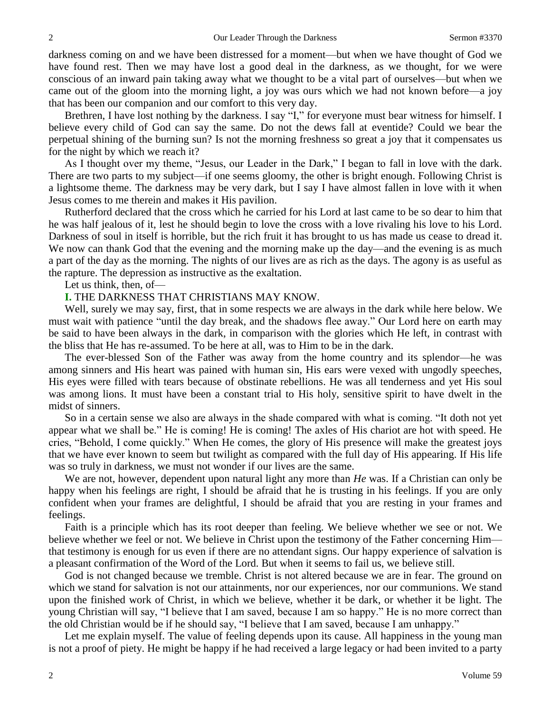darkness coming on and we have been distressed for a moment—but when we have thought of God we have found rest. Then we may have lost a good deal in the darkness, as we thought, for we were conscious of an inward pain taking away what we thought to be a vital part of ourselves—but when we came out of the gloom into the morning light, a joy was ours which we had not known before—a joy that has been our companion and our comfort to this very day.

Brethren, I have lost nothing by the darkness. I say "I," for everyone must bear witness for himself. I believe every child of God can say the same. Do not the dews fall at eventide? Could we bear the perpetual shining of the burning sun? Is not the morning freshness so great a joy that it compensates us for the night by which we reach it?

As I thought over my theme, "Jesus, our Leader in the Dark," I began to fall in love with the dark. There are two parts to my subject—if one seems gloomy, the other is bright enough. Following Christ is a lightsome theme. The darkness may be very dark, but I say I have almost fallen in love with it when Jesus comes to me therein and makes it His pavilion.

Rutherford declared that the cross which he carried for his Lord at last came to be so dear to him that he was half jealous of it, lest he should begin to love the cross with a love rivaling his love to his Lord. Darkness of soul in itself is horrible, but the rich fruit it has brought to us has made us cease to dread it. We now can thank God that the evening and the morning make up the day—and the evening is as much a part of the day as the morning. The nights of our lives are as rich as the days. The agony is as useful as the rapture. The depression as instructive as the exaltation.

Let us think, then, of—

#### **I.** THE DARKNESS THAT CHRISTIANS MAY KNOW.

Well, surely we may say, first, that in some respects we are always in the dark while here below. We must wait with patience "until the day break, and the shadows flee away." Our Lord here on earth may be said to have been always in the dark, in comparison with the glories which He left, in contrast with the bliss that He has re-assumed. To be here at all, was to Him to be in the dark.

The ever-blessed Son of the Father was away from the home country and its splendor—he was among sinners and His heart was pained with human sin, His ears were vexed with ungodly speeches, His eyes were filled with tears because of obstinate rebellions. He was all tenderness and yet His soul was among lions. It must have been a constant trial to His holy, sensitive spirit to have dwelt in the midst of sinners.

So in a certain sense we also are always in the shade compared with what is coming. "It doth not yet appear what we shall be." He is coming! He is coming! The axles of His chariot are hot with speed. He cries, "Behold, I come quickly." When He comes, the glory of His presence will make the greatest joys that we have ever known to seem but twilight as compared with the full day of His appearing. If His life was so truly in darkness, we must not wonder if our lives are the same.

We are not, however, dependent upon natural light any more than *He* was. If a Christian can only be happy when his feelings are right, I should be afraid that he is trusting in his feelings. If you are only confident when your frames are delightful, I should be afraid that you are resting in your frames and feelings.

Faith is a principle which has its root deeper than feeling. We believe whether we see or not. We believe whether we feel or not. We believe in Christ upon the testimony of the Father concerning Him that testimony is enough for us even if there are no attendant signs. Our happy experience of salvation is a pleasant confirmation of the Word of the Lord. But when it seems to fail us, we believe still.

God is not changed because we tremble. Christ is not altered because we are in fear. The ground on which we stand for salvation is not our attainments, nor our experiences, nor our communions. We stand upon the finished work of Christ, in which we believe, whether it be dark, or whether it be light. The young Christian will say, "I believe that I am saved, because I am so happy." He is no more correct than the old Christian would be if he should say, "I believe that I am saved, because I am unhappy."

Let me explain myself. The value of feeling depends upon its cause. All happiness in the young man is not a proof of piety. He might be happy if he had received a large legacy or had been invited to a party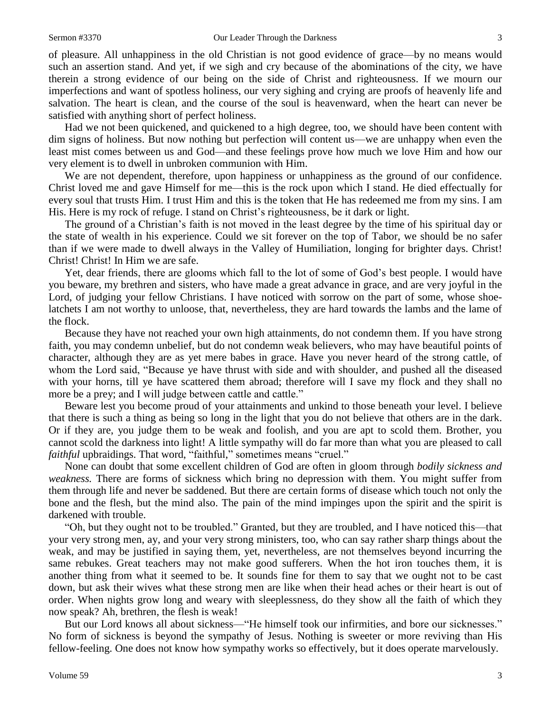of pleasure. All unhappiness in the old Christian is not good evidence of grace—by no means would such an assertion stand. And yet, if we sigh and cry because of the abominations of the city, we have therein a strong evidence of our being on the side of Christ and righteousness. If we mourn our imperfections and want of spotless holiness, our very sighing and crying are proofs of heavenly life and salvation. The heart is clean, and the course of the soul is heavenward, when the heart can never be satisfied with anything short of perfect holiness.

Had we not been quickened, and quickened to a high degree, too, we should have been content with dim signs of holiness. But now nothing but perfection will content us—we are unhappy when even the least mist comes between us and God—and these feelings prove how much we love Him and how our very element is to dwell in unbroken communion with Him.

We are not dependent, therefore, upon happiness or unhappiness as the ground of our confidence. Christ loved me and gave Himself for me—this is the rock upon which I stand. He died effectually for every soul that trusts Him. I trust Him and this is the token that He has redeemed me from my sins. I am His. Here is my rock of refuge. I stand on Christ's righteousness, be it dark or light.

The ground of a Christian's faith is not moved in the least degree by the time of his spiritual day or the state of wealth in his experience. Could we sit forever on the top of Tabor, we should be no safer than if we were made to dwell always in the Valley of Humiliation, longing for brighter days. Christ! Christ! Christ! In Him we are safe.

Yet, dear friends, there are glooms which fall to the lot of some of God's best people. I would have you beware, my brethren and sisters, who have made a great advance in grace, and are very joyful in the Lord, of judging your fellow Christians. I have noticed with sorrow on the part of some, whose shoelatchets I am not worthy to unloose, that, nevertheless, they are hard towards the lambs and the lame of the flock.

Because they have not reached your own high attainments, do not condemn them. If you have strong faith, you may condemn unbelief, but do not condemn weak believers, who may have beautiful points of character, although they are as yet mere babes in grace. Have you never heard of the strong cattle, of whom the Lord said, "Because ye have thrust with side and with shoulder, and pushed all the diseased with your horns, till ye have scattered them abroad; therefore will I save my flock and they shall no more be a prey; and I will judge between cattle and cattle."

Beware lest you become proud of your attainments and unkind to those beneath your level. I believe that there is such a thing as being so long in the light that you do not believe that others are in the dark. Or if they are, you judge them to be weak and foolish, and you are apt to scold them. Brother, you cannot scold the darkness into light! A little sympathy will do far more than what you are pleased to call *faithful* upbraidings. That word, "faithful," sometimes means "cruel."

None can doubt that some excellent children of God are often in gloom through *bodily sickness and weakness.* There are forms of sickness which bring no depression with them. You might suffer from them through life and never be saddened. But there are certain forms of disease which touch not only the bone and the flesh, but the mind also. The pain of the mind impinges upon the spirit and the spirit is darkened with trouble.

"Oh, but they ought not to be troubled." Granted, but they are troubled, and I have noticed this—that your very strong men, ay, and your very strong ministers, too, who can say rather sharp things about the weak, and may be justified in saying them, yet, nevertheless, are not themselves beyond incurring the same rebukes. Great teachers may not make good sufferers. When the hot iron touches them, it is another thing from what it seemed to be. It sounds fine for them to say that we ought not to be cast down, but ask their wives what these strong men are like when their head aches or their heart is out of order. When nights grow long and weary with sleeplessness, do they show all the faith of which they now speak? Ah, brethren, the flesh is weak!

But our Lord knows all about sickness—"He himself took our infirmities, and bore our sicknesses." No form of sickness is beyond the sympathy of Jesus. Nothing is sweeter or more reviving than His fellow-feeling. One does not know how sympathy works so effectively, but it does operate marvelously.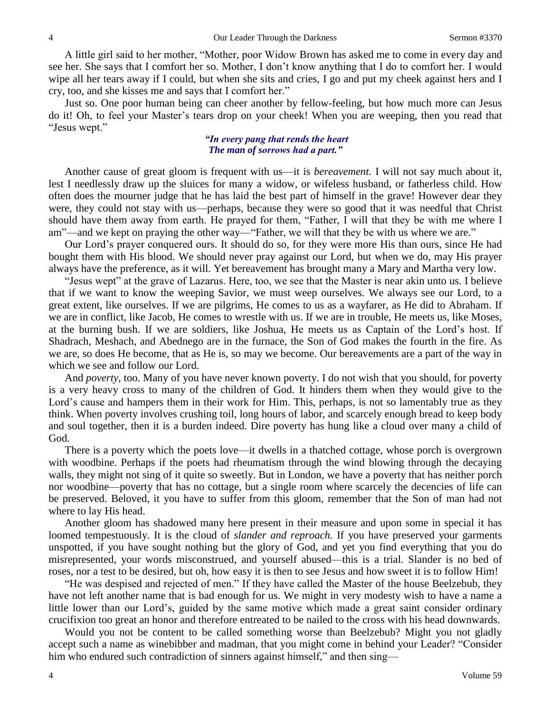A little girl said to her mother, "Mother, poor Widow Brown has asked me to come in every day and see her. She says that I comfort her so. Mother, I don't know anything that I do to comfort her. I would wipe all her tears away if I could, but when she sits and cries, I go and put my cheek against hers and I cry, too, and she kisses me and says that I comfort her."

Just so. One poor human being can cheer another by fellow-feeling, but how much more can Jesus do it! Oh, to feel your Master's tears drop on your cheek! When you are weeping, then you read that "Jesus wept."

#### *"In every pang that rends the heart The man of sorrows had a part."*

Another cause of great gloom is frequent with us—it is *bereavement.* I will not say much about it, lest I needlessly draw up the sluices for many a widow, or wifeless husband, or fatherless child. How often does the mourner judge that he has laid the best part of himself in the grave! However dear they were, they could not stay with us—perhaps, because they were so good that it was needful that Christ should have them away from earth. He prayed for them, "Father, I will that they be with me where I am"—and we kept on praying the other way—"Father, we will that they be with us where we are."

Our Lord's prayer conquered ours. It should do so, for they were more His than ours, since He had bought them with His blood. We should never pray against our Lord, but when we do, may His prayer always have the preference, as it will. Yet bereavement has brought many a Mary and Martha very low.

"Jesus wept" at the grave of Lazarus. Here, too, we see that the Master is near akin unto us. I believe that if we want to know the weeping Savior, we must weep ourselves. We always see our Lord, to a great extent, like ourselves. If we are pilgrims, He comes to us as a wayfarer, as He did to Abraham. If we are in conflict, like Jacob, He comes to wrestle with us. If we are in trouble, He meets us, like Moses, at the burning bush. If we are soldiers, like Joshua, He meets us as Captain of the Lord's host. If Shadrach, Meshach, and Abednego are in the furnace, the Son of God makes the fourth in the fire. As we are, so does He become, that as He is, so may we become. Our bereavements are a part of the way in which we see and follow our Lord.

And *poverty,* too. Many of you have never known poverty. I do not wish that you should, for poverty is a very heavy cross to many of the children of God. It hinders them when they would give to the Lord's cause and hampers them in their work for Him. This, perhaps, is not so lamentably true as they think. When poverty involves crushing toil, long hours of labor, and scarcely enough bread to keep body and soul together, then it is a burden indeed. Dire poverty has hung like a cloud over many a child of God.

There is a poverty which the poets love—it dwells in a thatched cottage, whose porch is overgrown with woodbine. Perhaps if the poets had rheumatism through the wind blowing through the decaying walls, they might not sing of it quite so sweetly. But in London, we have a poverty that has neither porch nor woodbine—poverty that has no cottage, but a single room where scarcely the decencies of life can be preserved. Beloved, it you have to suffer from this gloom, remember that the Son of man had not where to lay His head.

Another gloom has shadowed many here present in their measure and upon some in special it has loomed tempestuously. It is the cloud of *slander and reproach.* If you have preserved your garments unspotted, if you have sought nothing but the glory of God, and yet you find everything that you do misrepresented, your words misconstrued, and yourself abused—this is a trial. Slander is no bed of roses, nor a test to be desired, but oh, how easy it is then to see Jesus and how sweet it is to follow Him!

"He was despised and rejected of men." If they have called the Master of the house Beelzebub, they have not left another name that is bad enough for us. We might in very modesty wish to have a name a little lower than our Lord's, guided by the same motive which made a great saint consider ordinary crucifixion too great an honor and therefore entreated to be nailed to the cross with his head downwards.

Would you not be content to be called something worse than Beelzebub? Might you not gladly accept such a name as winebibber and madman, that you might come in behind your Leader? "Consider him who endured such contradiction of sinners against himself," and then sing—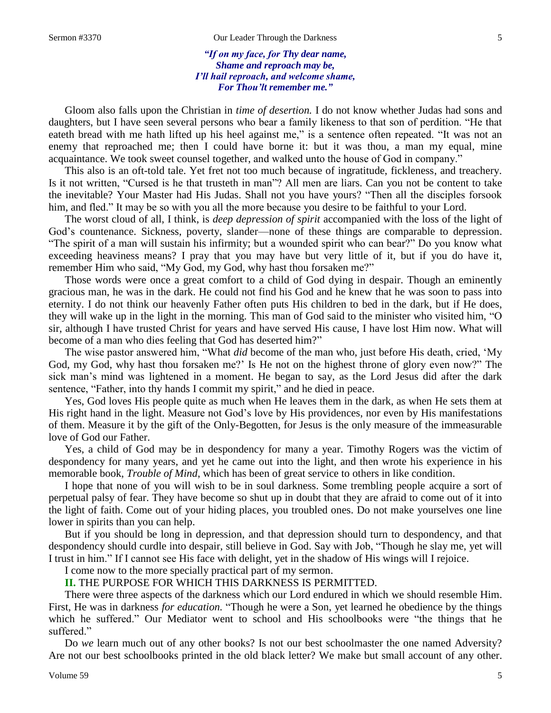*"If on my face, for Thy dear name, Shame and reproach may be, I'll hail reproach, and welcome shame, For Thou'lt remember me."*

Gloom also falls upon the Christian in *time of desertion.* I do not know whether Judas had sons and daughters, but I have seen several persons who bear a family likeness to that son of perdition. "He that eateth bread with me hath lifted up his heel against me," is a sentence often repeated. "It was not an enemy that reproached me; then I could have borne it: but it was thou, a man my equal, mine acquaintance. We took sweet counsel together, and walked unto the house of God in company."

This also is an oft-told tale. Yet fret not too much because of ingratitude, fickleness, and treachery. Is it not written, "Cursed is he that trusteth in man"? All men are liars. Can you not be content to take the inevitable? Your Master had His Judas. Shall not you have yours? "Then all the disciples forsook him, and fled." It may be so with you all the more because you desire to be faithful to your Lord.

The worst cloud of all, I think, is *deep depression of spirit* accompanied with the loss of the light of God's countenance. Sickness, poverty, slander—none of these things are comparable to depression. "The spirit of a man will sustain his infirmity; but a wounded spirit who can bear?" Do you know what exceeding heaviness means? I pray that you may have but very little of it, but if you do have it, remember Him who said, "My God, my God, why hast thou forsaken me?"

Those words were once a great comfort to a child of God dying in despair. Though an eminently gracious man, he was in the dark. He could not find his God and he knew that he was soon to pass into eternity. I do not think our heavenly Father often puts His children to bed in the dark, but if He does, they will wake up in the light in the morning. This man of God said to the minister who visited him, "O sir, although I have trusted Christ for years and have served His cause, I have lost Him now. What will become of a man who dies feeling that God has deserted him?"

The wise pastor answered him, "What *did* become of the man who, just before His death, cried, 'My God, my God, why hast thou forsaken me?' Is He not on the highest throne of glory even now?" The sick man's mind was lightened in a moment. He began to say, as the Lord Jesus did after the dark sentence, "Father, into thy hands I commit my spirit," and he died in peace.

Yes, God loves His people quite as much when He leaves them in the dark, as when He sets them at His right hand in the light. Measure not God's love by His providences, nor even by His manifestations of them. Measure it by the gift of the Only-Begotten, for Jesus is the only measure of the immeasurable love of God our Father.

Yes, a child of God may be in despondency for many a year. Timothy Rogers was the victim of despondency for many years, and yet he came out into the light, and then wrote his experience in his memorable book, *Trouble of Mind*, which has been of great service to others in like condition.

I hope that none of you will wish to be in soul darkness. Some trembling people acquire a sort of perpetual palsy of fear. They have become so shut up in doubt that they are afraid to come out of it into the light of faith. Come out of your hiding places, you troubled ones. Do not make yourselves one line lower in spirits than you can help.

But if you should be long in depression, and that depression should turn to despondency, and that despondency should curdle into despair, still believe in God. Say with Job, "Though he slay me, yet will I trust in him." If I cannot see His face with delight, yet in the shadow of His wings will I rejoice.

I come now to the more specially practical part of my sermon.

**II.** THE PURPOSE FOR WHICH THIS DARKNESS IS PERMITTED.

There were three aspects of the darkness which our Lord endured in which we should resemble Him. First, He was in darkness *for education.* "Though he were a Son, yet learned he obedience by the things which he suffered." Our Mediator went to school and His schoolbooks were "the things that he suffered."

Do *we* learn much out of any other books? Is not our best schoolmaster the one named Adversity? Are not our best schoolbooks printed in the old black letter? We make but small account of any other.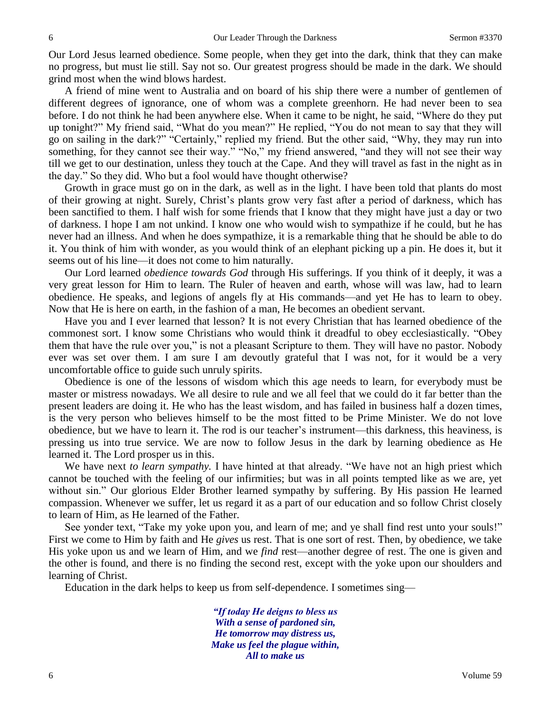Our Lord Jesus learned obedience. Some people, when they get into the dark, think that they can make no progress, but must lie still. Say not so. Our greatest progress should be made in the dark. We should grind most when the wind blows hardest.

A friend of mine went to Australia and on board of his ship there were a number of gentlemen of different degrees of ignorance, one of whom was a complete greenhorn. He had never been to sea before. I do not think he had been anywhere else. When it came to be night, he said, "Where do they put up tonight?" My friend said, "What do you mean?" He replied, "You do not mean to say that they will go on sailing in the dark?" "Certainly," replied my friend. But the other said, "Why, they may run into something, for they cannot see their way." "No," my friend answered, "and they will not see their way till we get to our destination, unless they touch at the Cape. And they will travel as fast in the night as in the day." So they did. Who but a fool would have thought otherwise?

Growth in grace must go on in the dark, as well as in the light. I have been told that plants do most of their growing at night. Surely, Christ's plants grow very fast after a period of darkness, which has been sanctified to them. I half wish for some friends that I know that they might have just a day or two of darkness. I hope I am not unkind. I know one who would wish to sympathize if he could, but he has never had an illness. And when he does sympathize, it is a remarkable thing that he should be able to do it. You think of him with wonder, as you would think of an elephant picking up a pin. He does it, but it seems out of his line—it does not come to him naturally.

Our Lord learned *obedience towards God* through His sufferings. If you think of it deeply, it was a very great lesson for Him to learn. The Ruler of heaven and earth, whose will was law, had to learn obedience. He speaks, and legions of angels fly at His commands—and yet He has to learn to obey. Now that He is here on earth, in the fashion of a man, He becomes an obedient servant.

Have you and I ever learned that lesson? It is not every Christian that has learned obedience of the commonest sort. I know some Christians who would think it dreadful to obey ecclesiastically. "Obey them that have the rule over you," is not a pleasant Scripture to them. They will have no pastor. Nobody ever was set over them. I am sure I am devoutly grateful that I was not, for it would be a very uncomfortable office to guide such unruly spirits.

Obedience is one of the lessons of wisdom which this age needs to learn, for everybody must be master or mistress nowadays. We all desire to rule and we all feel that we could do it far better than the present leaders are doing it. He who has the least wisdom, and has failed in business half a dozen times, is the very person who believes himself to be the most fitted to be Prime Minister. We do not love obedience, but we have to learn it. The rod is our teacher's instrument—this darkness, this heaviness, is pressing us into true service. We are now to follow Jesus in the dark by learning obedience as He learned it. The Lord prosper us in this.

We have next *to learn sympathy*. I have hinted at that already. "We have not an high priest which cannot be touched with the feeling of our infirmities; but was in all points tempted like as we are, yet without sin." Our glorious Elder Brother learned sympathy by suffering. By His passion He learned compassion. Whenever we suffer, let us regard it as a part of our education and so follow Christ closely to learn of Him, as He learned of the Father.

See yonder text, "Take my yoke upon you, and learn of me; and ye shall find rest unto your souls!" First we come to Him by faith and He *gives* us rest. That is one sort of rest. Then, by obedience, we take His yoke upon us and we learn of Him, and we *find* rest—another degree of rest. The one is given and the other is found, and there is no finding the second rest, except with the yoke upon our shoulders and learning of Christ.

Education in the dark helps to keep us from self-dependence. I sometimes sing—

*"If today He deigns to bless us With a sense of pardoned sin, He tomorrow may distress us, Make us feel the plague within, All to make us*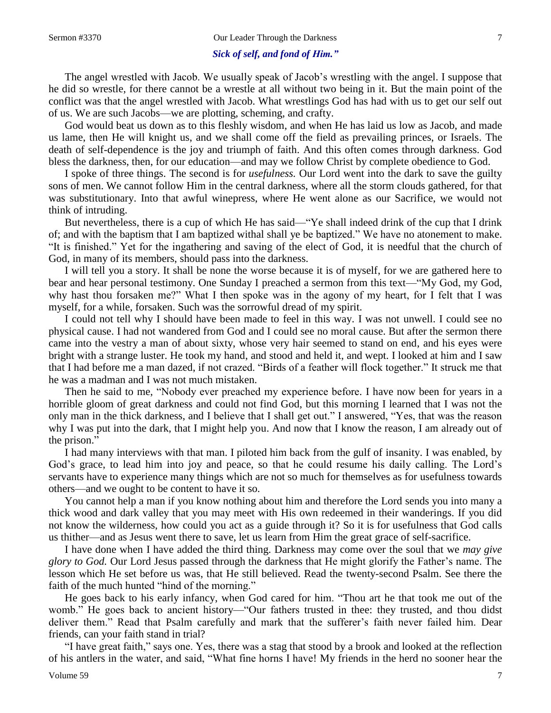### *Sick of self, and fond of Him."*

The angel wrestled with Jacob. We usually speak of Jacob's wrestling with the angel. I suppose that he did so wrestle, for there cannot be a wrestle at all without two being in it. But the main point of the conflict was that the angel wrestled with Jacob. What wrestlings God has had with us to get our self out of us. We are such Jacobs—we are plotting, scheming, and crafty.

God would beat us down as to this fleshly wisdom, and when He has laid us low as Jacob, and made us lame, then He will knight us, and we shall come off the field as prevailing princes, or Israels. The death of self-dependence is the joy and triumph of faith. And this often comes through darkness. God bless the darkness, then, for our education—and may we follow Christ by complete obedience to God.

I spoke of three things. The second is for *usefulness.* Our Lord went into the dark to save the guilty sons of men. We cannot follow Him in the central darkness, where all the storm clouds gathered, for that was substitutionary. Into that awful winepress, where He went alone as our Sacrifice, we would not think of intruding.

But nevertheless, there is a cup of which He has said—"Ye shall indeed drink of the cup that I drink of; and with the baptism that I am baptized withal shall ye be baptized." We have no atonement to make. "It is finished." Yet for the ingathering and saving of the elect of God, it is needful that the church of God, in many of its members, should pass into the darkness.

I will tell you a story. It shall be none the worse because it is of myself, for we are gathered here to bear and hear personal testimony. One Sunday I preached a sermon from this text—"My God, my God, why hast thou forsaken me?" What I then spoke was in the agony of my heart, for I felt that I was myself, for a while, forsaken. Such was the sorrowful dread of my spirit.

I could not tell why I should have been made to feel in this way. I was not unwell. I could see no physical cause. I had not wandered from God and I could see no moral cause. But after the sermon there came into the vestry a man of about sixty, whose very hair seemed to stand on end, and his eyes were bright with a strange luster. He took my hand, and stood and held it, and wept. I looked at him and I saw that I had before me a man dazed, if not crazed. "Birds of a feather will flock together." It struck me that he was a madman and I was not much mistaken.

Then he said to me, "Nobody ever preached my experience before. I have now been for years in a horrible gloom of great darkness and could not find God, but this morning I learned that I was not the only man in the thick darkness, and I believe that I shall get out." I answered, "Yes, that was the reason why I was put into the dark, that I might help you. And now that I know the reason, I am already out of the prison."

I had many interviews with that man. I piloted him back from the gulf of insanity. I was enabled, by God's grace, to lead him into joy and peace, so that he could resume his daily calling. The Lord's servants have to experience many things which are not so much for themselves as for usefulness towards others—and we ought to be content to have it so.

You cannot help a man if you know nothing about him and therefore the Lord sends you into many a thick wood and dark valley that you may meet with His own redeemed in their wanderings. If you did not know the wilderness, how could you act as a guide through it? So it is for usefulness that God calls us thither—and as Jesus went there to save, let us learn from Him the great grace of self-sacrifice.

I have done when I have added the third thing. Darkness may come over the soul that we *may give glory to God.* Our Lord Jesus passed through the darkness that He might glorify the Father's name. The lesson which He set before us was, that He still believed. Read the twenty-second Psalm. See there the faith of the much hunted "hind of the morning."

He goes back to his early infancy, when God cared for him. "Thou art he that took me out of the womb." He goes back to ancient history—"Our fathers trusted in thee: they trusted, and thou didst deliver them." Read that Psalm carefully and mark that the sufferer's faith never failed him. Dear friends, can your faith stand in trial?

"I have great faith," says one. Yes, there was a stag that stood by a brook and looked at the reflection of his antlers in the water, and said, "What fine horns I have! My friends in the herd no sooner hear the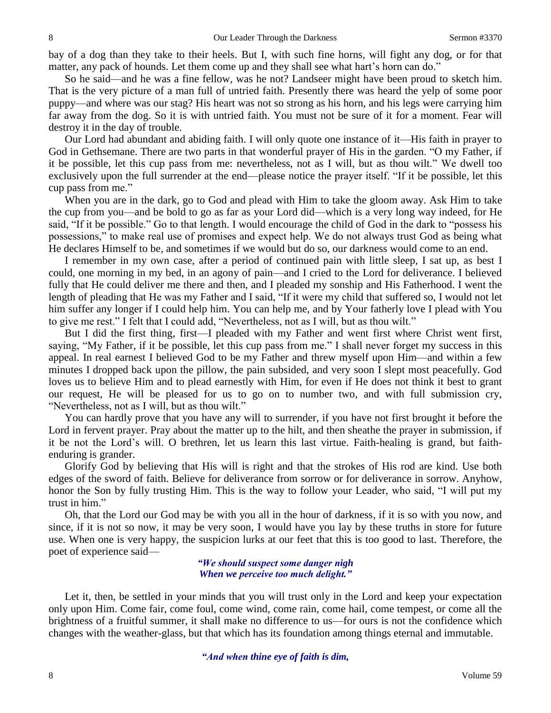bay of a dog than they take to their heels. But I, with such fine horns, will fight any dog, or for that matter, any pack of hounds. Let them come up and they shall see what hart's horn can do."

So he said—and he was a fine fellow, was he not? Landseer might have been proud to sketch him. That is the very picture of a man full of untried faith. Presently there was heard the yelp of some poor puppy—and where was our stag? His heart was not so strong as his horn, and his legs were carrying him far away from the dog. So it is with untried faith. You must not be sure of it for a moment. Fear will destroy it in the day of trouble.

Our Lord had abundant and abiding faith. I will only quote one instance of it—His faith in prayer to God in Gethsemane. There are two parts in that wonderful prayer of His in the garden. "O my Father, if it be possible, let this cup pass from me: nevertheless, not as I will, but as thou wilt." We dwell too exclusively upon the full surrender at the end—please notice the prayer itself. "If it be possible, let this cup pass from me."

When you are in the dark, go to God and plead with Him to take the gloom away. Ask Him to take the cup from you—and be bold to go as far as your Lord did—which is a very long way indeed, for He said, "If it be possible." Go to that length. I would encourage the child of God in the dark to "possess his possessions," to make real use of promises and expect help. We do not always trust God as being what He declares Himself to be, and sometimes if we would but do so, our darkness would come to an end.

I remember in my own case, after a period of continued pain with little sleep, I sat up, as best I could, one morning in my bed, in an agony of pain—and I cried to the Lord for deliverance. I believed fully that He could deliver me there and then, and I pleaded my sonship and His Fatherhood. I went the length of pleading that He was my Father and I said, "If it were my child that suffered so, I would not let him suffer any longer if I could help him. You can help me, and by Your fatherly love I plead with You to give me rest." I felt that I could add, "Nevertheless, not as I will, but as thou wilt."

But I did the first thing, first—I pleaded with my Father and went first where Christ went first, saying, "My Father, if it be possible, let this cup pass from me." I shall never forget my success in this appeal. In real earnest I believed God to be my Father and threw myself upon Him—and within a few minutes I dropped back upon the pillow, the pain subsided, and very soon I slept most peacefully. God loves us to believe Him and to plead earnestly with Him, for even if He does not think it best to grant our request, He will be pleased for us to go on to number two, and with full submission cry, "Nevertheless, not as I will, but as thou wilt."

You can hardly prove that you have any will to surrender, if you have not first brought it before the Lord in fervent prayer. Pray about the matter up to the hilt, and then sheathe the prayer in submission, if it be not the Lord's will. O brethren, let us learn this last virtue. Faith-healing is grand, but faithenduring is grander.

Glorify God by believing that His will is right and that the strokes of His rod are kind. Use both edges of the sword of faith. Believe for deliverance from sorrow or for deliverance in sorrow. Anyhow, honor the Son by fully trusting Him. This is the way to follow your Leader, who said, "I will put my trust in him."

Oh, that the Lord our God may be with you all in the hour of darkness, if it is so with you now, and since, if it is not so now, it may be very soon, I would have you lay by these truths in store for future use. When one is very happy, the suspicion lurks at our feet that this is too good to last. Therefore, the poet of experience said—

> *"We should suspect some danger nigh When we perceive too much delight."*

Let it, then, be settled in your minds that you will trust only in the Lord and keep your expectation only upon Him. Come fair, come foul, come wind, come rain, come hail, come tempest, or come all the brightness of a fruitful summer, it shall make no difference to us—for ours is not the confidence which changes with the weather-glass, but that which has its foundation among things eternal and immutable.

#### *"And when thine eye of faith is dim,*